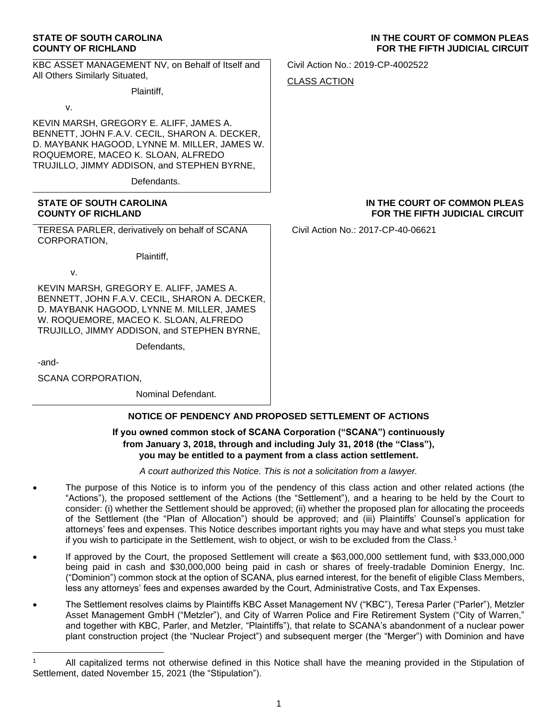### **STATE OF SOUTH CAROLINA COUNTY OF RICHLAND**

KBC ASSET MANAGEMENT NV, on Behalf of Itself and All Others Similarly Situated,

Plaintiff,

v.

KEVIN MARSH, GREGORY E. ALIFF, JAMES A. BENNETT, JOHN F.A.V. CECIL, SHARON A. DECKER, D. MAYBANK HAGOOD, LYNNE M. MILLER, JAMES W. ROQUEMORE, MACEO K. SLOAN, ALFREDO TRUJILLO, JIMMY ADDISON, and STEPHEN BYRNE,

Defendants.

### **STATE OF SOUTH CAROLINA COUNTY OF RICHLAND**

TERESA PARLER, derivatively on behalf of SCANA CORPORATION,

Plaintiff,

v.

KEVIN MARSH, GREGORY E. ALIFF, JAMES A. BENNETT, JOHN F.A.V. CECIL, SHARON A. DECKER, D. MAYBANK HAGOOD, LYNNE M. MILLER, JAMES W. ROQUEMORE, MACEO K. SLOAN, ALFREDO TRUJILLO, JIMMY ADDISON, and STEPHEN BYRNE,

Defendants,

-and-

SCANA CORPORATION,

Nominal Defendant.

# **NOTICE OF PENDENCY AND PROPOSED SETTLEMENT OF ACTIONS**

## **If you owned common stock of SCANA Corporation ("SCANA") continuously from January 3, 2018, through and including July 31, 2018 (the "Class"), you may be entitled to a payment from a class action settlement.**

*A court authorized this Notice. This is not a solicitation from a lawyer.*

- The purpose of this Notice is to inform you of the pendency of this class action and other related actions (the "Actions"), the proposed settlement of the Actions (the "Settlement"), and a hearing to be held by the Court to consider: (i) whether the Settlement should be approved; (ii) whether the proposed plan for allocating the proceeds of the Settlement (the "Plan of Allocation") should be approved; and (iii) Plaintiffs' Counsel's application for attorneys' fees and expenses. This Notice describes important rights you may have and what steps you must take if you wish to participate in the Settlement, wish to object, or wish to be excluded from the Class.<sup>1</sup>
- If approved by the Court, the proposed Settlement will create a \$63,000,000 settlement fund, with \$33,000,000 being paid in cash and \$30,000,000 being paid in cash or shares of freely-tradable Dominion Energy, Inc. ("Dominion") common stock at the option of SCANA, plus earned interest, for the benefit of eligible Class Members, less any attorneys' fees and expenses awarded by the Court, Administrative Costs, and Tax Expenses.
- The Settlement resolves claims by Plaintiffs KBC Asset Management NV ("KBC"), Teresa Parler ("Parler"), Metzler Asset Management GmbH ("Metzler"), and City of Warren Police and Fire Retirement System ("City of Warren," and together with KBC, Parler, and Metzler, "Plaintiffs"), that relate to SCANA's abandonment of a nuclear power plant construction project (the "Nuclear Project") and subsequent merger (the "Merger") with Dominion and have

Civil Action No.: 2019-CP-4002522

CLASS ACTION

# **IN THE COURT OF COMMON PLEAS FOR THE FIFTH JUDICIAL CIRCUIT**

Civil Action No.: 2017-CP-40-06621

<sup>1</sup> All capitalized terms not otherwise defined in this Notice shall have the meaning provided in the Stipulation of Settlement, dated November 15, 2021 (the "Stipulation").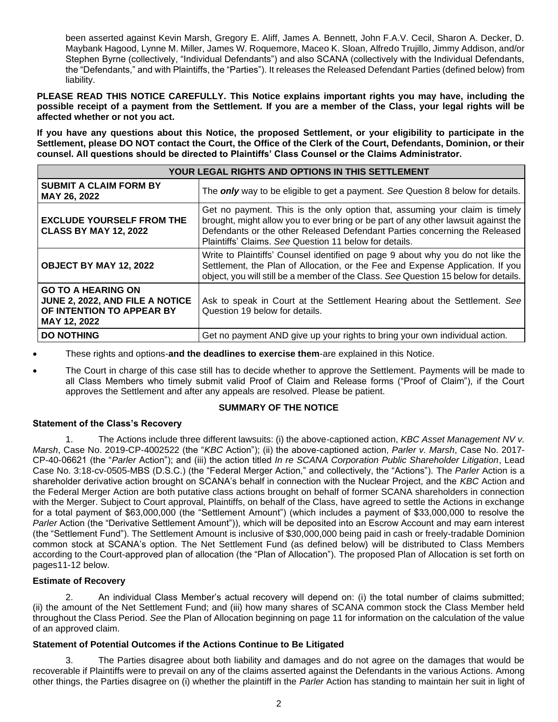been asserted against Kevin Marsh, Gregory E. Aliff, James A. Bennett, John F.A.V. Cecil, Sharon A. Decker, D. Maybank Hagood, Lynne M. Miller, James W. Roquemore, Maceo K. Sloan, Alfredo Trujillo, Jimmy Addison, and/or Stephen Byrne (collectively, "Individual Defendants") and also SCANA (collectively with the Individual Defendants, the "Defendants," and with Plaintiffs, the "Parties"). It releases the Released Defendant Parties (defined below) from liability.

**PLEASE READ THIS NOTICE CAREFULLY. This Notice explains important rights you may have, including the possible receipt of a payment from the Settlement. If you are a member of the Class, your legal rights will be affected whether or not you act.**

**If you have any questions about this Notice, the proposed Settlement, or your eligibility to participate in the Settlement, please DO NOT contact the Court, the Office of the Clerk of the Court, Defendants, Dominion, or their counsel. All questions should be directed to Plaintiffs' Class Counsel or the Claims Administrator.**

| YOUR LEGAL RIGHTS AND OPTIONS IN THIS SETTLEMENT                                                          |                                                                                                                                                                                                                                                                                                           |
|-----------------------------------------------------------------------------------------------------------|-----------------------------------------------------------------------------------------------------------------------------------------------------------------------------------------------------------------------------------------------------------------------------------------------------------|
| <b>SUBMIT A CLAIM FORM BY</b><br>MAY 26, 2022                                                             | The <i>only</i> way to be eligible to get a payment. See Question 8 below for details.                                                                                                                                                                                                                    |
| <b>EXCLUDE YOURSELF FROM THE</b><br><b>CLASS BY MAY 12, 2022</b>                                          | Get no payment. This is the only option that, assuming your claim is timely<br>brought, might allow you to ever bring or be part of any other lawsuit against the<br>Defendants or the other Released Defendant Parties concerning the Released<br>Plaintiffs' Claims. See Question 11 below for details. |
| OBJECT BY MAY 12, 2022                                                                                    | Write to Plaintiffs' Counsel identified on page 9 about why you do not like the<br>Settlement, the Plan of Allocation, or the Fee and Expense Application. If you<br>object, you will still be a member of the Class. See Question 15 below for details.                                                  |
| <b>GO TO A HEARING ON</b><br>JUNE 2, 2022, AND FILE A NOTICE<br>OF INTENTION TO APPEAR BY<br>MAY 12, 2022 | Ask to speak in Court at the Settlement Hearing about the Settlement. See<br>Question 19 below for details.                                                                                                                                                                                               |
| <b>DO NOTHING</b>                                                                                         | Get no payment AND give up your rights to bring your own individual action.                                                                                                                                                                                                                               |

• These rights and options-**and the deadlines to exercise them**-are explained in this Notice.

• The Court in charge of this case still has to decide whether to approve the Settlement. Payments will be made to all Class Members who timely submit valid Proof of Claim and Release forms ("Proof of Claim"), if the Court approves the Settlement and after any appeals are resolved. Please be patient.

# **SUMMARY OF THE NOTICE**

# **Statement of the Class's Recovery**

1. The Actions include three different lawsuits: (i) the above-captioned action, *KBC Asset Management NV v. Marsh*, Case No. 2019-CP-4002522 (the "*KBC* Action"); (ii) the above-captioned action, *Parler v. Marsh*, Case No. 2017- CP-40-06621 (the "*Parler* Action"); and (iii) the action titled *In re SCANA Corporation Public Shareholder Litigation*, Lead Case No. 3:18-cv-0505-MBS (D.S.C.) (the "Federal Merger Action," and collectively, the "Actions"). The *Parler* Action is a shareholder derivative action brought on SCANA's behalf in connection with the Nuclear Project, and the *KBC* Action and the Federal Merger Action are both putative class actions brought on behalf of former SCANA shareholders in connection with the Merger. Subject to Court approval, Plaintiffs, on behalf of the Class, have agreed to settle the Actions in exchange for a total payment of \$63,000,000 (the "Settlement Amount") (which includes a payment of \$33,000,000 to resolve the *Parler* Action (the "Derivative Settlement Amount")), which will be deposited into an Escrow Account and may earn interest (the "Settlement Fund"). The Settlement Amount is inclusive of \$30,000,000 being paid in cash or freely-tradable Dominion common stock at SCANA's option. The Net Settlement Fund (as defined below) will be distributed to Class Members according to the Court-approved plan of allocation (the "Plan of Allocation"). The proposed Plan of Allocation is set forth on pages11-12 below.

# **Estimate of Recovery**

2. An individual Class Member's actual recovery will depend on: (i) the total number of claims submitted; (ii) the amount of the Net Settlement Fund; and (iii) how many shares of SCANA common stock the Class Member held throughout the Class Period. *See* the Plan of Allocation beginning on page 11 for information on the calculation of the value of an approved claim.

# **Statement of Potential Outcomes if the Actions Continue to Be Litigated**

3. The Parties disagree about both liability and damages and do not agree on the damages that would be recoverable if Plaintiffs were to prevail on any of the claims asserted against the Defendants in the various Actions. Among other things, the Parties disagree on (i) whether the plaintiff in the *Parler* Action has standing to maintain her suit in light of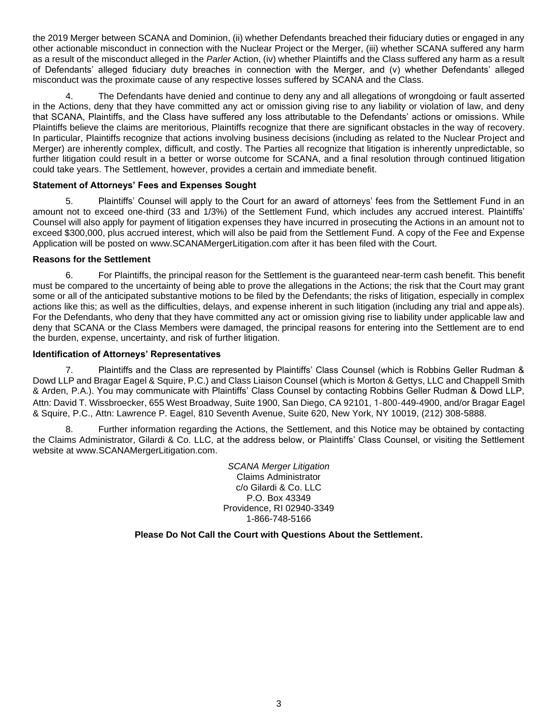the 2019 Merger between SCANA and Dominion, (ii) whether Defendants breached their fiduciary duties or engaged in any other actionable misconduct in connection with the Nuclear Project or the Merger, (iii) whether SCANA suffered any harm as a result of the misconduct alleged in the *Parler* Action, (iv) whether Plaintiffs and the Class suffered any harm as a result of Defendants' alleged fiduciary duty breaches in connection with the Merger, and (v) whether Defendants' alleged misconduct was the proximate cause of any respective losses suffered by SCANA and the Class.

4. The Defendants have denied and continue to deny any and all allegations of wrongdoing or fault asserted in the Actions, deny that they have committed any act or omission giving rise to any liability or violation of law, and deny that SCANA, Plaintiffs, and the Class have suffered any loss attributable to the Defendants' actions or omissions. While Plaintiffs believe the claims are meritorious, Plaintiffs recognize that there are significant obstacles in the way of recovery. In particular, Plaintiffs recognize that actions involving business decisions (including as related to the Nuclear Project and Merger) are inherently complex, difficult, and costly. The Parties all recognize that litigation is inherently unpredictable, so further litigation could result in a better or worse outcome for SCANA, and a final resolution through continued litigation could take years. The Settlement, however, provides a certain and immediate benefit.

# **Statement of Attorneys' Fees and Expenses Sought**

5. Plaintiffs' Counsel will apply to the Court for an award of attorneys' fees from the Settlement Fund in an amount not to exceed one-third (33 and 1/3%) of the Settlement Fund, which includes any accrued interest. Plaintiffs' Counsel will also apply for payment of litigation expenses they have incurred in prosecuting the Actions in an amount not to exceed \$300,000, plus accrued interest, which will also be paid from the Settlement Fund. A copy of the Fee and Expense Application will be posted on www.SCANAMergerLitigation.com after it has been filed with the Court.

# **Reasons for the Settlement**

6. For Plaintiffs, the principal reason for the Settlement is the guaranteed near-term cash benefit. This benefit must be compared to the uncertainty of being able to prove the allegations in the Actions; the risk that the Court may grant some or all of the anticipated substantive motions to be filed by the Defendants; the risks of litigation, especially in complex actions like this; as well as the difficulties, delays, and expense inherent in such litigation (including any trial and appeals). For the Defendants, who deny that they have committed any act or omission giving rise to liability under applicable law and deny that SCANA or the Class Members were damaged, the principal reasons for entering into the Settlement are to end the burden, expense, uncertainty, and risk of further litigation.

# **Identification of Attorneys' Representatives**

7. Plaintiffs and the Class are represented by Plaintiffs' Class Counsel (which is Robbins Geller Rudman & Dowd LLP and Bragar Eagel & Squire, P.C.) and Class Liaison Counsel (which is Morton & Gettys, LLC and Chappell Smith & Arden, P.A.). You may communicate with Plaintiffs' Class Counsel by contacting Robbins Geller Rudman & Dowd LLP, Attn: David T. Wissbroecker, 655 West Broadway, Suite 1900, San Diego, CA 92101, 1-800-449-4900, and/or Bragar Eagel & Squire, P.C., Attn: Lawrence P. Eagel, 810 Seventh Avenue, Suite 620, New York, NY 10019, (212) 308-5888.

8. Further information regarding the Actions, the Settlement, and this Notice may be obtained by contacting the Claims Administrator, Gilardi & Co. LLC, at the address below, or Plaintiffs' Class Counsel, or visiting the Settlement website at www.SCANAMergerLitigation.com.

> *SCANA Merger Litigation* Claims Administrator c/o Gilardi & Co. LLC P.O. Box 43349 Providence, RI 02940-3349 1-866-748-5166

**Please Do Not Call the Court with Questions About the Settlement.**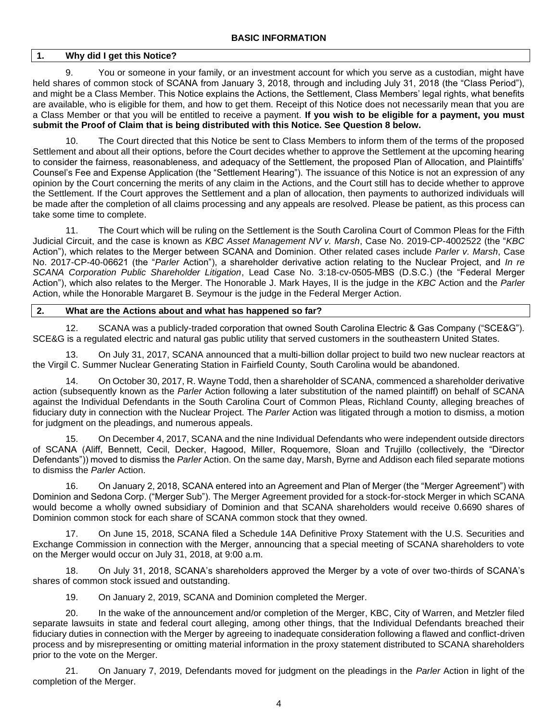# **1. Why did I get this Notice?**

9. You or someone in your family, or an investment account for which you serve as a custodian, might have held shares of common stock of SCANA from January 3, 2018, through and including July 31, 2018 (the "Class Period"), and might be a Class Member. This Notice explains the Actions, the Settlement, Class Members' legal rights, what benefits are available, who is eligible for them, and how to get them. Receipt of this Notice does not necessarily mean that you are a Class Member or that you will be entitled to receive a payment. **If you wish to be eligible for a payment, you must submit the Proof of Claim that is being distributed with this Notice. See Question 8 below.**

10. The Court directed that this Notice be sent to Class Members to inform them of the terms of the proposed Settlement and about all their options, before the Court decides whether to approve the Settlement at the upcoming hearing to consider the fairness, reasonableness, and adequacy of the Settlement, the proposed Plan of Allocation, and Plaintiffs' Counsel's Fee and Expense Application (the "Settlement Hearing"). The issuance of this Notice is not an expression of any opinion by the Court concerning the merits of any claim in the Actions, and the Court still has to decide whether to approve the Settlement. If the Court approves the Settlement and a plan of allocation, then payments to authorized individuals will be made after the completion of all claims processing and any appeals are resolved. Please be patient, as this process can take some time to complete.

11. The Court which will be ruling on the Settlement is the South Carolina Court of Common Pleas for the Fifth Judicial Circuit, and the case is known as *KBC Asset Management NV v. Marsh*, Case No. 2019-CP-4002522 (the "*KBC* Action"), which relates to the Merger between SCANA and Dominion. Other related cases include *Parler v. Marsh*, Case No. 2017-CP-40-06621 (the "*Parler* Action"), a shareholder derivative action relating to the Nuclear Project, and *In re SCANA Corporation Public Shareholder Litigation*, Lead Case No. 3:18-cv-0505-MBS (D.S.C.) (the "Federal Merger Action"), which also relates to the Merger. The Honorable J. Mark Hayes, II is the judge in the *KBC* Action and the *Parler*  Action, while the Honorable Margaret B. Seymour is the judge in the Federal Merger Action.

# **2. What are the Actions about and what has happened so far?**

12. SCANA was a publicly-traded corporation that owned South Carolina Electric & Gas Company ("SCE&G"). SCE&G is a regulated electric and natural gas public utility that served customers in the southeastern United States.

13. On July 31, 2017, SCANA announced that a multi-billion dollar project to build two new nuclear reactors at the Virgil C. Summer Nuclear Generating Station in Fairfield County, South Carolina would be abandoned.

14. On October 30, 2017, R. Wayne Todd, then a shareholder of SCANA, commenced a shareholder derivative action (subsequently known as the *Parler* Action following a later substitution of the named plaintiff) on behalf of SCANA against the Individual Defendants in the South Carolina Court of Common Pleas, Richland County, alleging breaches of fiduciary duty in connection with the Nuclear Project. The *Parler* Action was litigated through a motion to dismiss, a motion for judgment on the pleadings, and numerous appeals.

15. On December 4, 2017, SCANA and the nine Individual Defendants who were independent outside directors of SCANA (Aliff, Bennett, Cecil, Decker, Hagood, Miller, Roquemore, Sloan and Trujillo (collectively, the "Director Defendants")) moved to dismiss the *Parler* Action. On the same day, Marsh, Byrne and Addison each filed separate motions to dismiss the *Parler* Action.

16. On January 2, 2018, SCANA entered into an Agreement and Plan of Merger (the "Merger Agreement") with Dominion and Sedona Corp. ("Merger Sub"). The Merger Agreement provided for a stock-for-stock Merger in which SCANA would become a wholly owned subsidiary of Dominion and that SCANA shareholders would receive 0.6690 shares of Dominion common stock for each share of SCANA common stock that they owned.

On June 15, 2018, SCANA filed a Schedule 14A Definitive Proxy Statement with the U.S. Securities and Exchange Commission in connection with the Merger, announcing that a special meeting of SCANA shareholders to vote on the Merger would occur on July 31, 2018, at 9:00 a.m.

18. On July 31, 2018, SCANA's shareholders approved the Merger by a vote of over two-thirds of SCANA's shares of common stock issued and outstanding.

19. On January 2, 2019, SCANA and Dominion completed the Merger.

20. In the wake of the announcement and/or completion of the Merger, KBC, City of Warren, and Metzler filed separate lawsuits in state and federal court alleging, among other things, that the Individual Defendants breached their fiduciary duties in connection with the Merger by agreeing to inadequate consideration following a flawed and conflict-driven process and by misrepresenting or omitting material information in the proxy statement distributed to SCANA shareholders prior to the vote on the Merger.

21. On January 7, 2019, Defendants moved for judgment on the pleadings in the *Parler* Action in light of the completion of the Merger.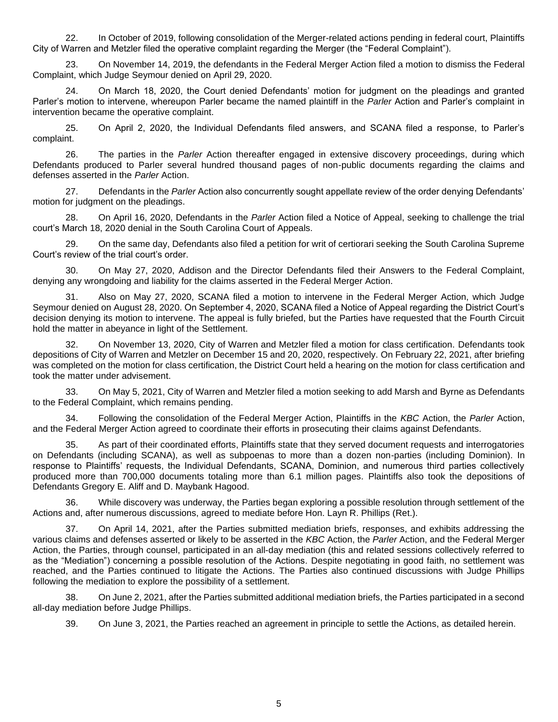22. In October of 2019, following consolidation of the Merger-related actions pending in federal court, Plaintiffs City of Warren and Metzler filed the operative complaint regarding the Merger (the "Federal Complaint").

23. On November 14, 2019, the defendants in the Federal Merger Action filed a motion to dismiss the Federal Complaint, which Judge Seymour denied on April 29, 2020.

24. On March 18, 2020, the Court denied Defendants' motion for judgment on the pleadings and granted Parler's motion to intervene, whereupon Parler became the named plaintiff in the *Parler* Action and Parler's complaint in intervention became the operative complaint.

25. On April 2, 2020, the Individual Defendants filed answers, and SCANA filed a response, to Parler's complaint.

26. The parties in the *Parler* Action thereafter engaged in extensive discovery proceedings, during which Defendants produced to Parler several hundred thousand pages of non-public documents regarding the claims and defenses asserted in the *Parler* Action.

27. Defendants in the *Parler* Action also concurrently sought appellate review of the order denying Defendants' motion for judgment on the pleadings.

28. On April 16, 2020, Defendants in the *Parler* Action filed a Notice of Appeal, seeking to challenge the trial court's March 18, 2020 denial in the South Carolina Court of Appeals.

29. On the same day, Defendants also filed a petition for writ of certiorari seeking the South Carolina Supreme Court's review of the trial court's order.

30. On May 27, 2020, Addison and the Director Defendants filed their Answers to the Federal Complaint, denying any wrongdoing and liability for the claims asserted in the Federal Merger Action.

31. Also on May 27, 2020, SCANA filed a motion to intervene in the Federal Merger Action, which Judge Seymour denied on August 28, 2020. On September 4, 2020, SCANA filed a Notice of Appeal regarding the District Court's decision denying its motion to intervene. The appeal is fully briefed, but the Parties have requested that the Fourth Circuit hold the matter in abeyance in light of the Settlement.

32. On November 13, 2020, City of Warren and Metzler filed a motion for class certification. Defendants took depositions of City of Warren and Metzler on December 15 and 20, 2020, respectively. On February 22, 2021, after briefing was completed on the motion for class certification, the District Court held a hearing on the motion for class certification and took the matter under advisement.

33. On May 5, 2021, City of Warren and Metzler filed a motion seeking to add Marsh and Byrne as Defendants to the Federal Complaint, which remains pending.

34. Following the consolidation of the Federal Merger Action, Plaintiffs in the *KBC* Action, the *Parler* Action, and the Federal Merger Action agreed to coordinate their efforts in prosecuting their claims against Defendants.

35. As part of their coordinated efforts, Plaintiffs state that they served document requests and interrogatories on Defendants (including SCANA), as well as subpoenas to more than a dozen non-parties (including Dominion). In response to Plaintiffs' requests, the Individual Defendants, SCANA, Dominion, and numerous third parties collectively produced more than 700,000 documents totaling more than 6.1 million pages. Plaintiffs also took the depositions of Defendants Gregory E. Aliff and D. Maybank Hagood.

36. While discovery was underway, the Parties began exploring a possible resolution through settlement of the Actions and, after numerous discussions, agreed to mediate before Hon. Layn R. Phillips (Ret.).

37. On April 14, 2021, after the Parties submitted mediation briefs, responses, and exhibits addressing the various claims and defenses asserted or likely to be asserted in the *KBC* Action, the *Parler* Action, and the Federal Merger Action, the Parties, through counsel, participated in an all-day mediation (this and related sessions collectively referred to as the "Mediation") concerning a possible resolution of the Actions. Despite negotiating in good faith, no settlement was reached, and the Parties continued to litigate the Actions. The Parties also continued discussions with Judge Phillips following the mediation to explore the possibility of a settlement.

38. On June 2, 2021, after the Parties submitted additional mediation briefs, the Parties participated in a second all-day mediation before Judge Phillips.

39. On June 3, 2021, the Parties reached an agreement in principle to settle the Actions, as detailed herein.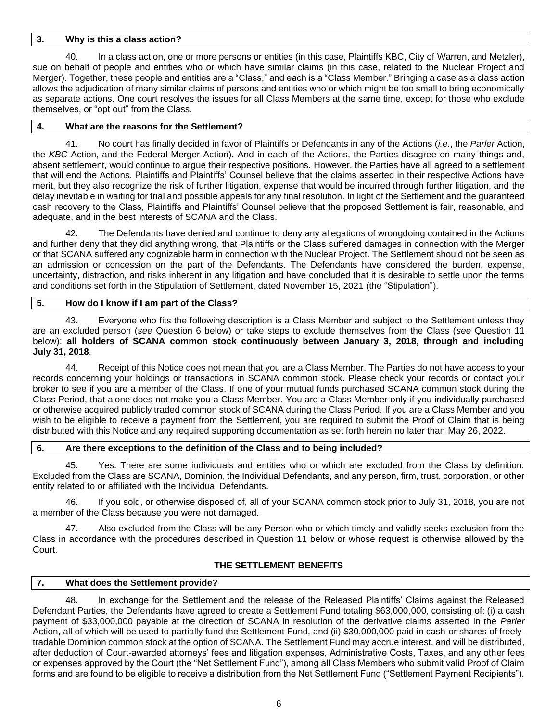## **3. Why is this a class action?**

40. In a class action, one or more persons or entities (in this case, Plaintiffs KBC, City of Warren, and Metzler), sue on behalf of people and entities who or which have similar claims (in this case, related to the Nuclear Project and Merger). Together, these people and entities are a "Class," and each is a "Class Member." Bringing a case as a class action allows the adjudication of many similar claims of persons and entities who or which might be too small to bring economically as separate actions. One court resolves the issues for all Class Members at the same time, except for those who exclude themselves, or "opt out" from the Class.

## **4. What are the reasons for the Settlement?**

41. No court has finally decided in favor of Plaintiffs or Defendants in any of the Actions (*i.e.*, the *Parler* Action, the *KBC* Action, and the Federal Merger Action). And in each of the Actions, the Parties disagree on many things and, absent settlement, would continue to argue their respective positions. However, the Parties have all agreed to a settlement that will end the Actions. Plaintiffs and Plaintiffs' Counsel believe that the claims asserted in their respective Actions have merit, but they also recognize the risk of further litigation, expense that would be incurred through further litigation, and the delay inevitable in waiting for trial and possible appeals for any final resolution. In light of the Settlement and the guaranteed cash recovery to the Class, Plaintiffs and Plaintiffs' Counsel believe that the proposed Settlement is fair, reasonable, and adequate, and in the best interests of SCANA and the Class.

42. The Defendants have denied and continue to deny any allegations of wrongdoing contained in the Actions and further deny that they did anything wrong, that Plaintiffs or the Class suffered damages in connection with the Merger or that SCANA suffered any cognizable harm in connection with the Nuclear Project. The Settlement should not be seen as an admission or concession on the part of the Defendants. The Defendants have considered the burden, expense, uncertainty, distraction, and risks inherent in any litigation and have concluded that it is desirable to settle upon the terms and conditions set forth in the Stipulation of Settlement, dated November 15, 2021 (the "Stipulation").

## **5. How do I know if I am part of the Class?**

43. Everyone who fits the following description is a Class Member and subject to the Settlement unless they are an excluded person (*see* Question 6 below) or take steps to exclude themselves from the Class (*see* Question 11 below): **all holders of SCANA common stock continuously between January 3, 2018, through and including July 31, 2018**.

44. Receipt of this Notice does not mean that you are a Class Member. The Parties do not have access to your records concerning your holdings or transactions in SCANA common stock. Please check your records or contact your broker to see if you are a member of the Class. If one of your mutual funds purchased SCANA common stock during the Class Period, that alone does not make you a Class Member. You are a Class Member only if you individually purchased or otherwise acquired publicly traded common stock of SCANA during the Class Period. If you are a Class Member and you wish to be eligible to receive a payment from the Settlement, you are required to submit the Proof of Claim that is being distributed with this Notice and any required supporting documentation as set forth herein no later than May 26, 2022.

### **6. Are there exceptions to the definition of the Class and to being included?**

45. Yes. There are some individuals and entities who or which are excluded from the Class by definition. Excluded from the Class are SCANA, Dominion, the Individual Defendants, and any person, firm, trust, corporation, or other entity related to or affiliated with the Individual Defendants.

46. If you sold, or otherwise disposed of, all of your SCANA common stock prior to July 31, 2018, you are not a member of the Class because you were not damaged.

47. Also excluded from the Class will be any Person who or which timely and validly seeks exclusion from the Class in accordance with the procedures described in Question 11 below or whose request is otherwise allowed by the Court.

### **THE SETTLEMENT BENEFITS**

### **7. What does the Settlement provide?**

48. In exchange for the Settlement and the release of the Released Plaintiffs' Claims against the Released Defendant Parties, the Defendants have agreed to create a Settlement Fund totaling \$63,000,000, consisting of: (i) a cash payment of \$33,000,000 payable at the direction of SCANA in resolution of the derivative claims asserted in the *Parler*  Action, all of which will be used to partially fund the Settlement Fund, and (ii) \$30,000,000 paid in cash or shares of freelytradable Dominion common stock at the option of SCANA. The Settlement Fund may accrue interest, and will be distributed, after deduction of Court-awarded attorneys' fees and litigation expenses, Administrative Costs, Taxes, and any other fees or expenses approved by the Court (the "Net Settlement Fund"), among all Class Members who submit valid Proof of Claim forms and are found to be eligible to receive a distribution from the Net Settlement Fund ("Settlement Payment Recipients").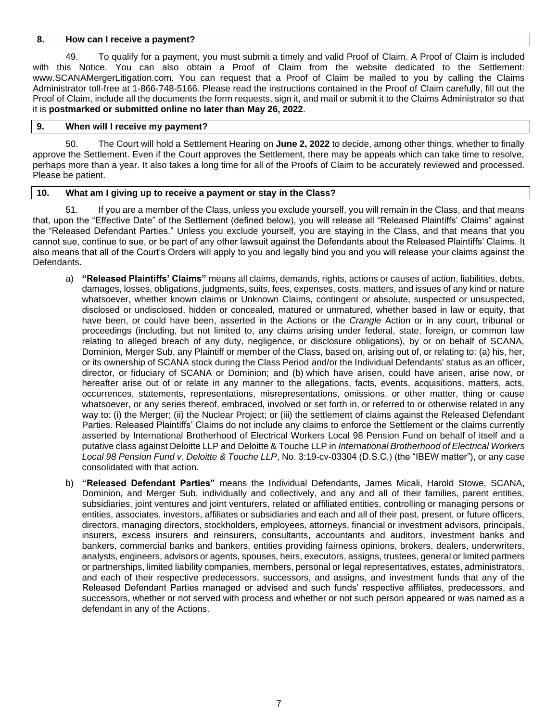## **8. How can I receive a payment?**

49. To qualify for a payment, you must submit a timely and valid Proof of Claim. A Proof of Claim is included with this Notice. You can also obtain a Proof of Claim from the website dedicated to the Settlement: www.SCANAMergerLitigation.com. You can request that a Proof of Claim be mailed to you by calling the Claims Administrator toll-free at 1-866-748-5166. Please read the instructions contained in the Proof of Claim carefully, fill out the Proof of Claim, include all the documents the form requests, sign it, and mail or submit it to the Claims Administrator so that it is **postmarked or submitted online no later than May 26, 2022**.

### **9. When will I receive my payment?**

50. The Court will hold a Settlement Hearing on **June 2, 2022** to decide, among other things, whether to finally approve the Settlement. Even if the Court approves the Settlement, there may be appeals which can take time to resolve, perhaps more than a year. It also takes a long time for all of the Proofs of Claim to be accurately reviewed and processed. Please be patient.

## **10. What am I giving up to receive a payment or stay in the Class?**

51. If you are a member of the Class, unless you exclude yourself, you will remain in the Class, and that means that, upon the "Effective Date" of the Settlement (defined below), you will release all "Released Plaintiffs' Claims" against the "Released Defendant Parties." Unless you exclude yourself, you are staying in the Class, and that means that you cannot sue, continue to sue, or be part of any other lawsuit against the Defendants about the Released Plaintiffs' Claims. It also means that all of the Court's Orders will apply to you and legally bind you and you will release your claims against the Defendants.

- a) **"Released Plaintiffs' Claims"** means all claims, demands, rights, actions or causes of action, liabilities, debts, damages, losses, obligations, judgments, suits, fees, expenses, costs, matters, and issues of any kind or nature whatsoever, whether known claims or Unknown Claims, contingent or absolute, suspected or unsuspected, disclosed or undisclosed, hidden or concealed, matured or unmatured, whether based in law or equity, that have been, or could have been, asserted in the Actions or the *Crangle* Action or in any court, tribunal or proceedings (including, but not limited to, any claims arising under federal, state, foreign, or common law relating to alleged breach of any duty, negligence, or disclosure obligations), by or on behalf of SCANA, Dominion, Merger Sub, any Plaintiff or member of the Class, based on, arising out of, or relating to: (a) his, her, or its ownership of SCANA stock during the Class Period and/or the Individual Defendants' status as an officer, director, or fiduciary of SCANA or Dominion; and (b) which have arisen, could have arisen, arise now, or hereafter arise out of or relate in any manner to the allegations, facts, events, acquisitions, matters, acts, occurrences, statements, representations, misrepresentations, omissions, or other matter, thing or cause whatsoever, or any series thereof, embraced, involved or set forth in, or referred to or otherwise related in any way to: (i) the Merger; (ii) the Nuclear Project; or (iii) the settlement of claims against the Released Defendant Parties. Released Plaintiffs' Claims do not include any claims to enforce the Settlement or the claims currently asserted by International Brotherhood of Electrical Workers Local 98 Pension Fund on behalf of itself and a putative class against Deloitte LLP and Deloitte & Touche LLP in *International Brotherhood of Electrical Workers Local 98 Pension Fund v. Deloitte & Touche LLP*, No. 3:19-cv-03304 (D.S.C.) (the "IBEW matter"), or any case consolidated with that action.
- b) **"Released Defendant Parties"** means the Individual Defendants, James Micali, Harold Stowe, SCANA, Dominion, and Merger Sub, individually and collectively, and any and all of their families, parent entities, subsidiaries, joint ventures and joint venturers, related or affiliated entities, controlling or managing persons or entities, associates, investors, affiliates or subsidiaries and each and all of their past, present, or future officers, directors, managing directors, stockholders, employees, attorneys, financial or investment advisors, principals, insurers, excess insurers and reinsurers, consultants, accountants and auditors, investment banks and bankers, commercial banks and bankers, entities providing fairness opinions, brokers, dealers, underwriters, analysts, engineers, advisors or agents, spouses, heirs, executors, assigns, trustees, general or limited partners or partnerships, limited liability companies, members, personal or legal representatives, estates, administrators, and each of their respective predecessors, successors, and assigns, and investment funds that any of the Released Defendant Parties managed or advised and such funds' respective affiliates, predecessors, and successors, whether or not served with process and whether or not such person appeared or was named as a defendant in any of the Actions.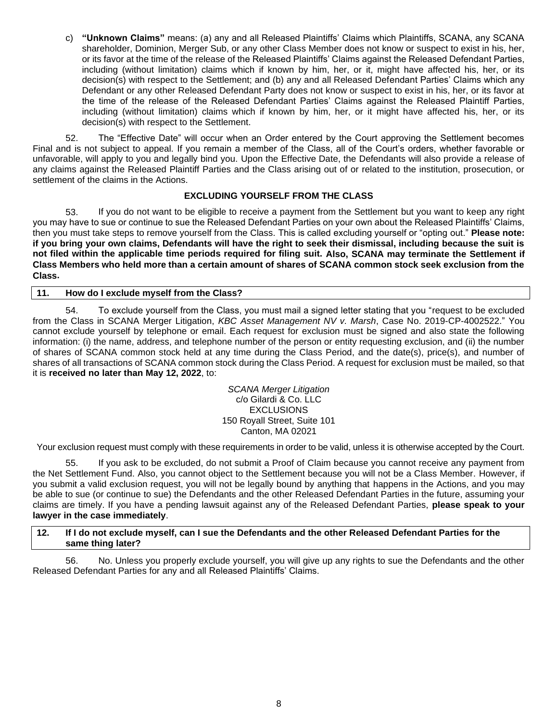c) **"Unknown Claims"** means: (a) any and all Released Plaintiffs' Claims which Plaintiffs, SCANA, any SCANA shareholder, Dominion, Merger Sub, or any other Class Member does not know or suspect to exist in his, her, or its favor at the time of the release of the Released Plaintiffs' Claims against the Released Defendant Parties, including (without limitation) claims which if known by him, her, or it, might have affected his, her, or its decision(s) with respect to the Settlement; and (b) any and all Released Defendant Parties' Claims which any Defendant or any other Released Defendant Party does not know or suspect to exist in his, her, or its favor at the time of the release of the Released Defendant Parties' Claims against the Released Plaintiff Parties, including (without limitation) claims which if known by him, her, or it might have affected his, her, or its decision(s) with respect to the Settlement.

52. The "Effective Date" will occur when an Order entered by the Court approving the Settlement becomes Final and is not subject to appeal. If you remain a member of the Class, all of the Court's orders, whether favorable or unfavorable, will apply to you and legally bind you. Upon the Effective Date, the Defendants will also provide a release of any claims against the Released Plaintiff Parties and the Class arising out of or related to the institution, prosecution, or settlement of the claims in the Actions.

# **EXCLUDING YOURSELF FROM THE CLASS**

53. If you do not want to be eligible to receive a payment from the Settlement but you want to keep any right you may have to sue or continue to sue the Released Defendant Parties on your own about the Released Plaintiffs' Claims, then you must take steps to remove yourself from the Class. This is called excluding yourself or "opting out." **Please note: if you bring your own claims, Defendants will have the right to seek their dismissal, including because the suit is not filed within the applicable time periods required for filing suit. Also, SCANA may terminate the Settlement if Class Members who held more than a certain amount of shares of SCANA common stock seek exclusion from the Class.**

# **11. How do I exclude myself from the Class?**

54. To exclude yourself from the Class, you must mail a signed letter stating that you "request to be excluded from the Class in SCANA Merger Litigation, *KBC Asset Management NV v. Marsh*, Case No. 2019-CP-4002522." You cannot exclude yourself by telephone or email. Each request for exclusion must be signed and also state the following information: (i) the name, address, and telephone number of the person or entity requesting exclusion, and (ii) the number of shares of SCANA common stock held at any time during the Class Period, and the date(s), price(s), and number of shares of all transactions of SCANA common stock during the Class Period. A request for exclusion must be mailed, so that it is **received no later than May 12, 2022**, to:

> *SCANA Merger Litigation* c/o Gilardi & Co. LLC EXCLUSIONS 150 Royall Street, Suite 101 Canton, MA 02021

Your exclusion request must comply with these requirements in order to be valid, unless it is otherwise accepted by the Court.

55. If you ask to be excluded, do not submit a Proof of Claim because you cannot receive any payment from the Net Settlement Fund. Also, you cannot object to the Settlement because you will not be a Class Member. However, if you submit a valid exclusion request, you will not be legally bound by anything that happens in the Actions, and you may be able to sue (or continue to sue) the Defendants and the other Released Defendant Parties in the future, assuming your claims are timely. If you have a pending lawsuit against any of the Released Defendant Parties, **please speak to your lawyer in the case immediately**.

### **12. If I do not exclude myself, can I sue the Defendants and the other Released Defendant Parties for the same thing later?**

56. No. Unless you properly exclude yourself, you will give up any rights to sue the Defendants and the other Released Defendant Parties for any and all Released Plaintiffs' Claims.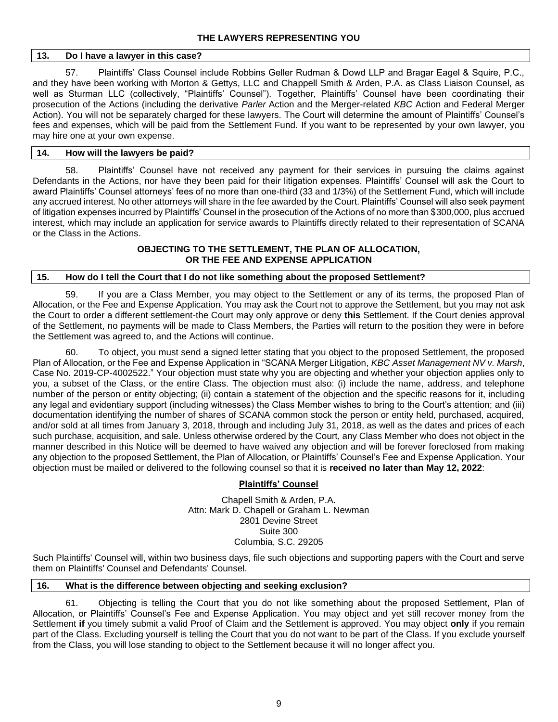## **13. Do I have a lawyer in this case?**

57. Plaintiffs' Class Counsel include Robbins Geller Rudman & Dowd LLP and Bragar Eagel & Squire, P.C., and they have been working with Morton & Gettys, LLC and Chappell Smith & Arden, P.A. as Class Liaison Counsel, as well as Sturman LLC (collectively, "Plaintiffs' Counsel"). Together, Plaintiffs' Counsel have been coordinating their prosecution of the Actions (including the derivative *Parler* Action and the Merger-related *KBC* Action and Federal Merger Action). You will not be separately charged for these lawyers. The Court will determine the amount of Plaintiffs' Counsel's fees and expenses, which will be paid from the Settlement Fund. If you want to be represented by your own lawyer, you may hire one at your own expense.

## **14. How will the lawyers be paid?**

58. Plaintiffs' Counsel have not received any payment for their services in pursuing the claims against Defendants in the Actions, nor have they been paid for their litigation expenses. Plaintiffs' Counsel will ask the Court to award Plaintiffs' Counsel attorneys' fees of no more than one-third (33 and 1/3%) of the Settlement Fund, which will include any accrued interest. No other attorneys will share in the fee awarded by the Court. Plaintiffs' Counsel will also seek payment of litigation expenses incurred by Plaintiffs' Counsel in the prosecution of the Actions of no more than \$300,000, plus accrued interest, which may include an application for service awards to Plaintiffs directly related to their representation of SCANA or the Class in the Actions.

# **OBJECTING TO THE SETTLEMENT, THE PLAN OF ALLOCATION, OR THE FEE AND EXPENSE APPLICATION**

## **15. How do I tell the Court that I do not like something about the proposed Settlement?**

59. If you are a Class Member, you may object to the Settlement or any of its terms, the proposed Plan of Allocation, or the Fee and Expense Application. You may ask the Court not to approve the Settlement, but you may not ask the Court to order a different settlement-the Court may only approve or deny **this** Settlement. If the Court denies approval of the Settlement, no payments will be made to Class Members, the Parties will return to the position they were in before the Settlement was agreed to, and the Actions will continue.

60. To object, you must send a signed letter stating that you object to the proposed Settlement, the proposed Plan of Allocation, or the Fee and Expense Application in "SCANA Merger Litigation, *KBC Asset Management NV v. Marsh*, Case No. 2019-CP-4002522." Your objection must state why you are objecting and whether your objection applies only to you, a subset of the Class, or the entire Class. The objection must also: (i) include the name, address, and telephone number of the person or entity objecting; (ii) contain a statement of the objection and the specific reasons for it, including any legal and evidentiary support (including witnesses) the Class Member wishes to bring to the Court's attention; and (iii) documentation identifying the number of shares of SCANA common stock the person or entity held, purchased, acquired, and/or sold at all times from January 3, 2018, through and including July 31, 2018, as well as the dates and prices of each such purchase, acquisition, and sale. Unless otherwise ordered by the Court, any Class Member who does not object in the manner described in this Notice will be deemed to have waived any objection and will be forever foreclosed from making any objection to the proposed Settlement, the Plan of Allocation, or Plaintiffs' Counsel's Fee and Expense Application. Your objection must be mailed or delivered to the following counsel so that it is **received no later than May 12, 2022**:

# **Plaintiffs' Counsel**

Chapell Smith & Arden, P.A. Attn: Mark D. Chapell or Graham L. Newman 2801 Devine Street Suite 300 Columbia, S.C. 29205

Such Plaintiffs' Counsel will, within two business days, file such objections and supporting papers with the Court and serve them on Plaintiffs' Counsel and Defendants' Counsel.

### **16. What is the difference between objecting and seeking exclusion?**

61. Objecting is telling the Court that you do not like something about the proposed Settlement, Plan of Allocation, or Plaintiffs' Counsel's Fee and Expense Application. You may object and yet still recover money from the Settlement **if** you timely submit a valid Proof of Claim and the Settlement is approved. You may object **only** if you remain part of the Class. Excluding yourself is telling the Court that you do not want to be part of the Class. If you exclude yourself from the Class, you will lose standing to object to the Settlement because it will no longer affect you.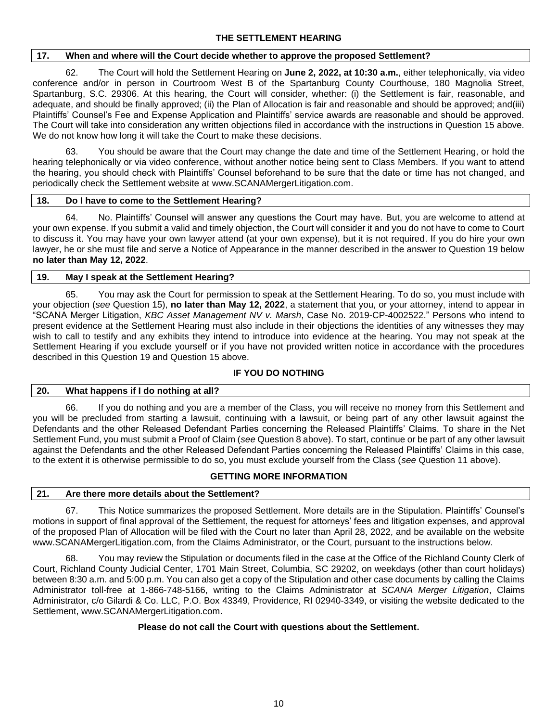## **17. When and where will the Court decide whether to approve the proposed Settlement?**

62. The Court will hold the Settlement Hearing on **June 2, 2022, at 10:30 a.m.**, either telephonically, via video conference and/or in person in Courtroom West B of the Spartanburg County Courthouse, 180 Magnolia Street, Spartanburg, S.C. 29306. At this hearing, the Court will consider, whether: (i) the Settlement is fair, reasonable, and adequate, and should be finally approved; (ii) the Plan of Allocation is fair and reasonable and should be approved; and(iii) Plaintiffs' Counsel's Fee and Expense Application and Plaintiffs' service awards are reasonable and should be approved. The Court will take into consideration any written objections filed in accordance with the instructions in Question 15 above. We do not know how long it will take the Court to make these decisions.

You should be aware that the Court may change the date and time of the Settlement Hearing, or hold the hearing telephonically or via video conference, without another notice being sent to Class Members. If you want to attend the hearing, you should check with Plaintiffs' Counsel beforehand to be sure that the date or time has not changed, and periodically check the Settlement website at www.SCANAMergerLitigation.com.

### **18. Do I have to come to the Settlement Hearing?**

64. No. Plaintiffs' Counsel will answer any questions the Court may have. But, you are welcome to attend at your own expense. If you submit a valid and timely objection, the Court will consider it and you do not have to come to Court to discuss it. You may have your own lawyer attend (at your own expense), but it is not required. If you do hire your own lawyer, he or she must file and serve a Notice of Appearance in the manner described in the answer to Question 19 below **no later than May 12, 2022**.

### **19. May I speak at the Settlement Hearing?**

65. You may ask the Court for permission to speak at the Settlement Hearing. To do so, you must include with your objection (*see* Question 15), **no later than May 12, 2022**, a statement that you, or your attorney, intend to appear in "SCANA Merger Litigation, *KBC Asset Management NV v. Marsh*, Case No. 2019-CP-4002522." Persons who intend to present evidence at the Settlement Hearing must also include in their objections the identities of any witnesses they may wish to call to testify and any exhibits they intend to introduce into evidence at the hearing. You may not speak at the Settlement Hearing if you exclude yourself or if you have not provided written notice in accordance with the procedures described in this Question 19 and Question 15 above.

# **IF YOU DO NOTHING**

## **20. What happens if I do nothing at all?**

66. If you do nothing and you are a member of the Class, you will receive no money from this Settlement and you will be precluded from starting a lawsuit, continuing with a lawsuit, or being part of any other lawsuit against the Defendants and the other Released Defendant Parties concerning the Released Plaintiffs' Claims. To share in the Net Settlement Fund, you must submit a Proof of Claim (*see* Question 8 above). To start, continue or be part of any other lawsuit against the Defendants and the other Released Defendant Parties concerning the Released Plaintiffs' Claims in this case, to the extent it is otherwise permissible to do so, you must exclude yourself from the Class (*see* Question 11 above).

## **GETTING MORE INFORMATION**

### **21. Are there more details about the Settlement?**

67. This Notice summarizes the proposed Settlement. More details are in the Stipulation. Plaintiffs' Counsel's motions in support of final approval of the Settlement, the request for attorneys' fees and litigation expenses, and approval of the proposed Plan of Allocation will be filed with the Court no later than April 28, 2022, and be available on the website www.SCANAMergerLitigation.com, from the Claims Administrator, or the Court, pursuant to the instructions below.

68. You may review the Stipulation or documents filed in the case at the Office of the Richland County Clerk of Court, Richland County Judicial Center, 1701 Main Street, Columbia, SC 29202, on weekdays (other than court holidays) between 8:30 a.m. and 5:00 p.m. You can also get a copy of the Stipulation and other case documents by calling the Claims Administrator toll-free at 1-866-748-5166, writing to the Claims Administrator at *SCANA Merger Litigation*, Claims Administrator, c/o Gilardi & Co. LLC, P.O. Box 43349, Providence, RI 02940-3349, or visiting the website dedicated to the Settlement, www.SCANAMergerLitigation.com.

# **Please do not call the Court with questions about the Settlement.**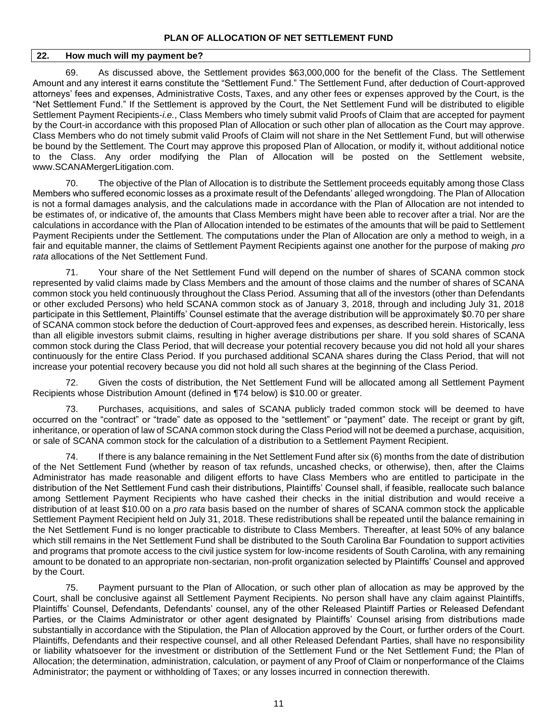### **22. How much will my payment be?**

69. As discussed above, the Settlement provides \$63,000,000 for the benefit of the Class. The Settlement Amount and any interest it earns constitute the "Settlement Fund." The Settlement Fund, after deduction of Court-approved attorneys' fees and expenses, Administrative Costs, Taxes, and any other fees or expenses approved by the Court, is the "Net Settlement Fund." If the Settlement is approved by the Court, the Net Settlement Fund will be distributed to eligible Settlement Payment Recipients-*i.e.*, Class Members who timely submit valid Proofs of Claim that are accepted for payment by the Court-in accordance with this proposed Plan of Allocation or such other plan of allocation as the Court may approve. Class Members who do not timely submit valid Proofs of Claim will not share in the Net Settlement Fund, but will otherwise be bound by the Settlement. The Court may approve this proposed Plan of Allocation, or modify it, without additional notice to the Class. Any order modifying the Plan of Allocation will be posted on the Settlement website, www.SCANAMergerLitigation.com.

70. The objective of the Plan of Allocation is to distribute the Settlement proceeds equitably among those Class Members who suffered economic losses as a proximate result of the Defendants' alleged wrongdoing. The Plan of Allocation is not a formal damages analysis, and the calculations made in accordance with the Plan of Allocation are not intended to be estimates of, or indicative of, the amounts that Class Members might have been able to recover after a trial. Nor are the calculations in accordance with the Plan of Allocation intended to be estimates of the amounts that will be paid to Settlement Payment Recipients under the Settlement. The computations under the Plan of Allocation are only a method to weigh, in a fair and equitable manner, the claims of Settlement Payment Recipients against one another for the purpose of making *pro rata* allocations of the Net Settlement Fund.

71. Your share of the Net Settlement Fund will depend on the number of shares of SCANA common stock represented by valid claims made by Class Members and the amount of those claims and the number of shares of SCANA common stock you held continuously throughout the Class Period. Assuming that all of the investors (other than Defendants or other excluded Persons) who held SCANA common stock as of January 3, 2018, through and including July 31, 2018 participate in this Settlement, Plaintiffs' Counsel estimate that the average distribution will be approximately \$0.70 per share of SCANA common stock before the deduction of Court-approved fees and expenses, as described herein. Historically, less than all eligible investors submit claims, resulting in higher average distributions per share. If you sold shares of SCANA common stock during the Class Period, that will decrease your potential recovery because you did not hold all your shares continuously for the entire Class Period. If you purchased additional SCANA shares during the Class Period, that will not increase your potential recovery because you did not hold all such shares at the beginning of the Class Period.

Given the costs of distribution, the Net Settlement Fund will be allocated among all Settlement Payment Recipients whose Distribution Amount (defined in ¶74 below) is \$10.00 or greater.

73. Purchases, acquisitions, and sales of SCANA publicly traded common stock will be deemed to have occurred on the "contract" or "trade" date as opposed to the "settlement" or "payment" date. The receipt or grant by gift, inheritance, or operation of law of SCANA common stock during the Class Period will not be deemed a purchase, acquisition, or sale of SCANA common stock for the calculation of a distribution to a Settlement Payment Recipient.

74. If there is any balance remaining in the Net Settlement Fund after six (6) months from the date of distribution of the Net Settlement Fund (whether by reason of tax refunds, uncashed checks, or otherwise), then, after the Claims Administrator has made reasonable and diligent efforts to have Class Members who are entitled to participate in the distribution of the Net Settlement Fund cash their distributions, Plaintiffs' Counsel shall, if feasible, reallocate such balance among Settlement Payment Recipients who have cashed their checks in the initial distribution and would receive a distribution of at least \$10.00 on a *pro rata* basis based on the number of shares of SCANA common stock the applicable Settlement Payment Recipient held on July 31, 2018. These redistributions shall be repeated until the balance remaining in the Net Settlement Fund is no longer practicable to distribute to Class Members. Thereafter, at least 50% of any balance which still remains in the Net Settlement Fund shall be distributed to the South Carolina Bar Foundation to support activities and programs that promote access to the civil justice system for low-income residents of South Carolina, with any remaining amount to be donated to an appropriate non-sectarian, non-profit organization selected by Plaintiffs' Counsel and approved by the Court.

75. Payment pursuant to the Plan of Allocation, or such other plan of allocation as may be approved by the Court, shall be conclusive against all Settlement Payment Recipients. No person shall have any claim against Plaintiffs, Plaintiffs' Counsel, Defendants, Defendants' counsel, any of the other Released Plaintiff Parties or Released Defendant Parties, or the Claims Administrator or other agent designated by Plaintiffs' Counsel arising from distributions made substantially in accordance with the Stipulation, the Plan of Allocation approved by the Court, or further orders of the Court. Plaintiffs, Defendants and their respective counsel, and all other Released Defendant Parties, shall have no responsibility or liability whatsoever for the investment or distribution of the Settlement Fund or the Net Settlement Fund; the Plan of Allocation; the determination, administration, calculation, or payment of any Proof of Claim or nonperformance of the Claims Administrator; the payment or withholding of Taxes; or any losses incurred in connection therewith.